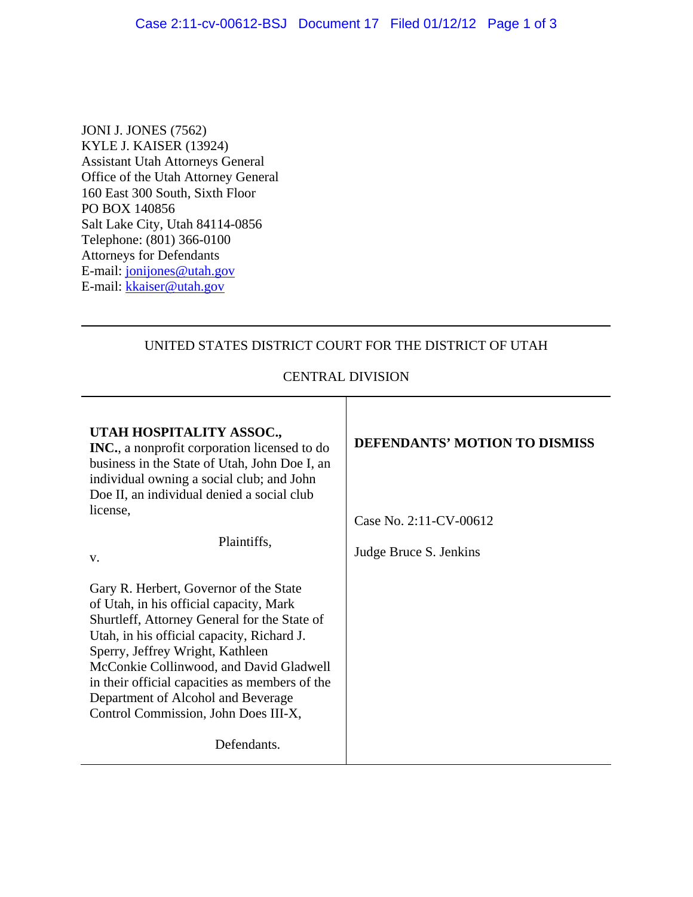JONI J. JONES (7562) KYLE J. KAISER (13924) Assistant Utah Attorneys General Office of the Utah Attorney General 160 East 300 South, Sixth Floor PO BOX 140856 Salt Lake City, Utah 84114-0856 Telephone: (801) 366-0100 Attorneys for Defendants E-mail: jonijones@utah.gov E-mail: [kkaiser@utah.gov](mailto:kkaiser@utah.gov)

## UNITED STATES DISTRICT COURT FOR THE DISTRICT OF UTAH

## CENTRAL DIVISION

Т

| Case No. 2:11-CV-00612 |
|------------------------|
| Judge Bruce S. Jenkins |
|                        |
|                        |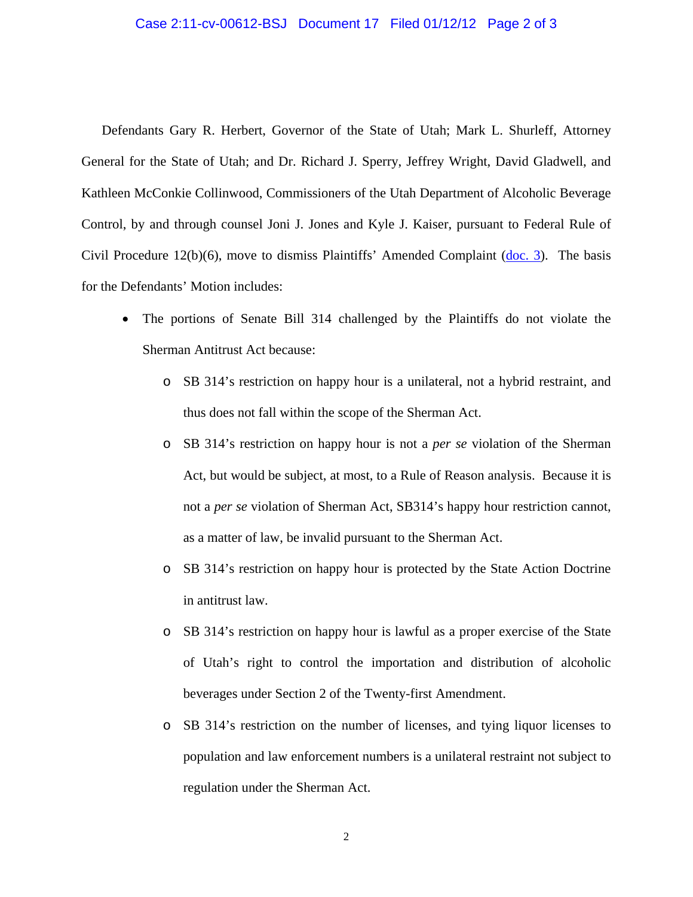## Case 2:11-cv-00612-BSJ Document 17 Filed 01/12/12 Page 2 of 3

Defendants Gary R. Herbert, Governor of the State of Utah; Mark L. Shurleff, Attorney General for the State of Utah; and Dr. Richard J. Sperry, Jeffrey Wright, David Gladwell, and Kathleen McConkie Collinwood, Commissioners of the Utah Department of Alcoholic Beverage Control, by and through counsel Joni J. Jones and Kyle J. Kaiser, pursuant to Federal Rule of Civil Procedure 12(b)(6), move to dismiss Plaintiffs' Amended Complaint [\(doc. 3\)](https://ecf.utd.uscourts.gov/doc1/18312225898). The basis for the Defendants' Motion includes:

- The portions of Senate Bill 314 challenged by the Plaintiffs do not violate the Sherman Antitrust Act because:
	- o SB 314's restriction on happy hour is a unilateral, not a hybrid restraint, and thus does not fall within the scope of the Sherman Act.
	- o SB 314's restriction on happy hour is not a *per se* violation of the Sherman Act, but would be subject, at most, to a Rule of Reason analysis. Because it is not a *per se* violation of Sherman Act, SB314's happy hour restriction cannot, as a matter of law, be invalid pursuant to the Sherman Act.
	- o SB 314's restriction on happy hour is protected by the State Action Doctrine in antitrust law.
	- o SB 314's restriction on happy hour is lawful as a proper exercise of the State of Utah's right to control the importation and distribution of alcoholic beverages under Section 2 of the Twenty-first Amendment.
	- o SB 314's restriction on the number of licenses, and tying liquor licenses to population and law enforcement numbers is a unilateral restraint not subject to regulation under the Sherman Act.